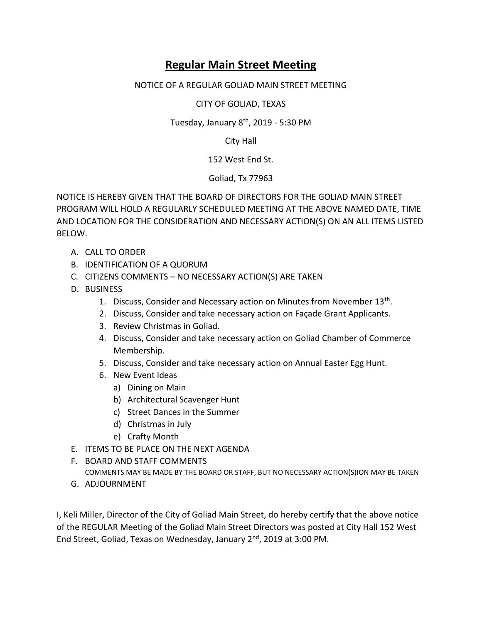## **Regular Main Street Meeting**

## NOTICE OF A REGULAR GOLIAD MAIN STREET MEETING

CITY OF GOLIAD, TEXAS

Tuesday, January 8<sup>th</sup>, 2019 - 5:30 PM

City Hall

152 West End St.

Goliad, Tx 77963

NOTICE IS HEREBY GIVEN THAT THE BOARD OF DIRECTORS FOR THE GOLIAD MAIN STREET PROGRAM WILL HOLD A REGULARLY SCHEDULED MEETING AT THE ABOVE NAMED DATE, TIME AND LOCATION FOR THE CONSIDERATION AND NECESSARY ACTION(S) ON AN ALL ITEMS LISTED BELOW.

- A. CALL TO ORDER
- B. IDENTIFICATION OF A QUORUM
- C. CITIZENS COMMENTS NO NECESSARY ACTION(S) ARE TAKEN
- D. BUSINESS
	- 1. Discuss, Consider and Necessary action on Minutes from November 13<sup>th</sup>.
	- 2. Discuss, Consider and take necessary action on Façade Grant Applicants.
	- 3. Review Christmas in Goliad.
	- 4. Discuss, Consider and take necessary action on Goliad Chamber of Commerce Membership.
	- 5. Discuss, Consider and take necessary action on Annual Easter Egg Hunt.
	- 6. New Event Ideas
		- a) Dining on Main
		- b) Architectural Scavenger Hunt
		- c) Street Dances in the Summer
		- d) Christmas in July
		- e) Crafty Month
- E. ITEMS TO BE PLACE ON THE NEXT AGENDA
- F. BOARD AND STAFF COMMENTS COMMENTS MAY BE MADE BY THE BOARD OR STAFF, BUT NO NECESSARY ACTION(S)ION MAY BE TAKEN
- G. ADJOURNMENT

I, Keli Miller, Director of the City of Goliad Main Street, do hereby certify that the above notice of the REGULAR Meeting of the Goliad Main Street Directors was posted at City Hall 152 West End Street, Goliad, Texas on Wednesday, January 2<sup>nd</sup>, 2019 at 3:00 PM.